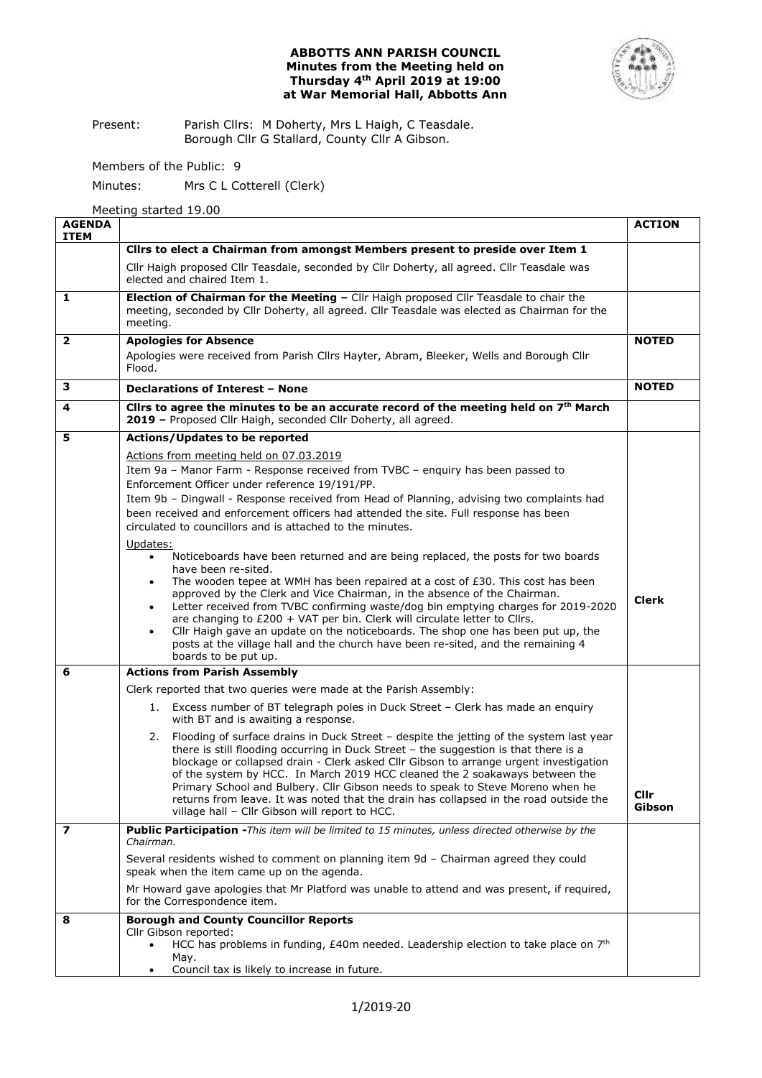# **ABBOTTS ANN PARISH COUNCIL Minutes from the Meeting held on Thursday 4th April 2019 at 19:00 at War Memorial Hall, Abbotts Ann**



Present: Parish Cllrs: M Doherty, Mrs L Haigh, C Teasdale. Borough Cllr G Stallard, County Cllr A Gibson.

Members of the Public: 9

Minutes: Mrs C L Cotterell (Clerk)

Meeting started 19.00

| <b>AGENDA</b><br><b>ITEM</b> |                                                                                                                                                                                                   | <b>ACTION</b> |  |  |  |  |
|------------------------------|---------------------------------------------------------------------------------------------------------------------------------------------------------------------------------------------------|---------------|--|--|--|--|
|                              | Clirs to elect a Chairman from amongst Members present to preside over Item 1                                                                                                                     |               |  |  |  |  |
|                              | Cllr Haigh proposed Cllr Teasdale, seconded by Cllr Doherty, all agreed. Cllr Teasdale was<br>elected and chaired Item 1.                                                                         |               |  |  |  |  |
| 1                            | Election of Chairman for the Meeting - Cllr Haigh proposed Cllr Teasdale to chair the<br>meeting, seconded by Cllr Doherty, all agreed. Cllr Teasdale was elected as Chairman for the<br>meeting. |               |  |  |  |  |
| $\overline{2}$               | <b>Apologies for Absence</b>                                                                                                                                                                      |               |  |  |  |  |
|                              | Apologies were received from Parish Cllrs Hayter, Abram, Bleeker, Wells and Borough Cllr<br>Flood.                                                                                                |               |  |  |  |  |
| 3                            | Declarations of Interest - None                                                                                                                                                                   |               |  |  |  |  |
| 4                            | Clirs to agree the minutes to be an accurate record of the meeting held on 7th March<br>2019 - Proposed Cllr Haigh, seconded Cllr Doherty, all agreed.                                            |               |  |  |  |  |
| 5                            | <b>Actions/Updates to be reported</b>                                                                                                                                                             |               |  |  |  |  |
|                              | Actions from meeting held on 07.03.2019                                                                                                                                                           |               |  |  |  |  |
|                              | Item 9a - Manor Farm - Response received from TVBC - enquiry has been passed to                                                                                                                   |               |  |  |  |  |
|                              | Enforcement Officer under reference 19/191/PP.<br>Item 9b - Dingwall - Response received from Head of Planning, advising two complaints had                                                       |               |  |  |  |  |
|                              | been received and enforcement officers had attended the site. Full response has been                                                                                                              |               |  |  |  |  |
|                              | circulated to councillors and is attached to the minutes.                                                                                                                                         |               |  |  |  |  |
|                              | Updates:                                                                                                                                                                                          |               |  |  |  |  |
|                              | Noticeboards have been returned and are being replaced, the posts for two boards<br>$\bullet$                                                                                                     |               |  |  |  |  |
|                              | have been re-sited.<br>The wooden tepee at WMH has been repaired at a cost of £30. This cost has been                                                                                             |               |  |  |  |  |
|                              | approved by the Clerk and Vice Chairman, in the absence of the Chairman.                                                                                                                          | <b>Clerk</b>  |  |  |  |  |
|                              | Letter received from TVBC confirming waste/dog bin emptying charges for 2019-2020<br>$\bullet$                                                                                                    |               |  |  |  |  |
|                              | are changing to $£200 + VAT$ per bin. Clerk will circulate letter to Cllrs.<br>Cllr Haigh gave an update on the noticeboards. The shop one has been put up, the<br>$\bullet$                      |               |  |  |  |  |
|                              | posts at the village hall and the church have been re-sited, and the remaining 4                                                                                                                  |               |  |  |  |  |
|                              | boards to be put up.                                                                                                                                                                              |               |  |  |  |  |
| 6                            | <b>Actions from Parish Assembly</b>                                                                                                                                                               |               |  |  |  |  |
|                              | Clerk reported that two queries were made at the Parish Assembly:                                                                                                                                 |               |  |  |  |  |
|                              | 1. Excess number of BT telegraph poles in Duck Street - Clerk has made an enquiry<br>with BT and is awaiting a response.                                                                          |               |  |  |  |  |
|                              | Flooding of surface drains in Duck Street - despite the jetting of the system last year<br>2.                                                                                                     |               |  |  |  |  |
|                              | there is still flooding occurring in Duck Street - the suggestion is that there is a<br>blockage or collapsed drain - Clerk asked Cllr Gibson to arrange urgent investigation                     |               |  |  |  |  |
|                              | of the system by HCC. In March 2019 HCC cleaned the 2 soakaways between the                                                                                                                       |               |  |  |  |  |
|                              | Primary School and Bulbery. Cllr Gibson needs to speak to Steve Moreno when he                                                                                                                    | Cllr          |  |  |  |  |
|                              | returns from leave. It was noted that the drain has collapsed in the road outside the<br>village hall - Cllr Gibson will report to HCC.                                                           | Gibson        |  |  |  |  |
| 7                            | Public Participation -This item will be limited to 15 minutes, unless directed otherwise by the                                                                                                   |               |  |  |  |  |
|                              | Chairman.                                                                                                                                                                                         |               |  |  |  |  |
|                              | Several residents wished to comment on planning item 9d - Chairman agreed they could<br>speak when the item came up on the agenda.                                                                |               |  |  |  |  |
|                              | Mr Howard gave apologies that Mr Platford was unable to attend and was present, if required,<br>for the Correspondence item.                                                                      |               |  |  |  |  |
| 8                            | <b>Borough and County Councillor Reports</b>                                                                                                                                                      |               |  |  |  |  |
|                              | Cllr Gibson reported:<br>HCC has problems in funding, £40m needed. Leadership election to take place on 7 <sup>th</sup><br>$\bullet$                                                              |               |  |  |  |  |
|                              | May.                                                                                                                                                                                              |               |  |  |  |  |
|                              | Council tax is likely to increase in future.                                                                                                                                                      |               |  |  |  |  |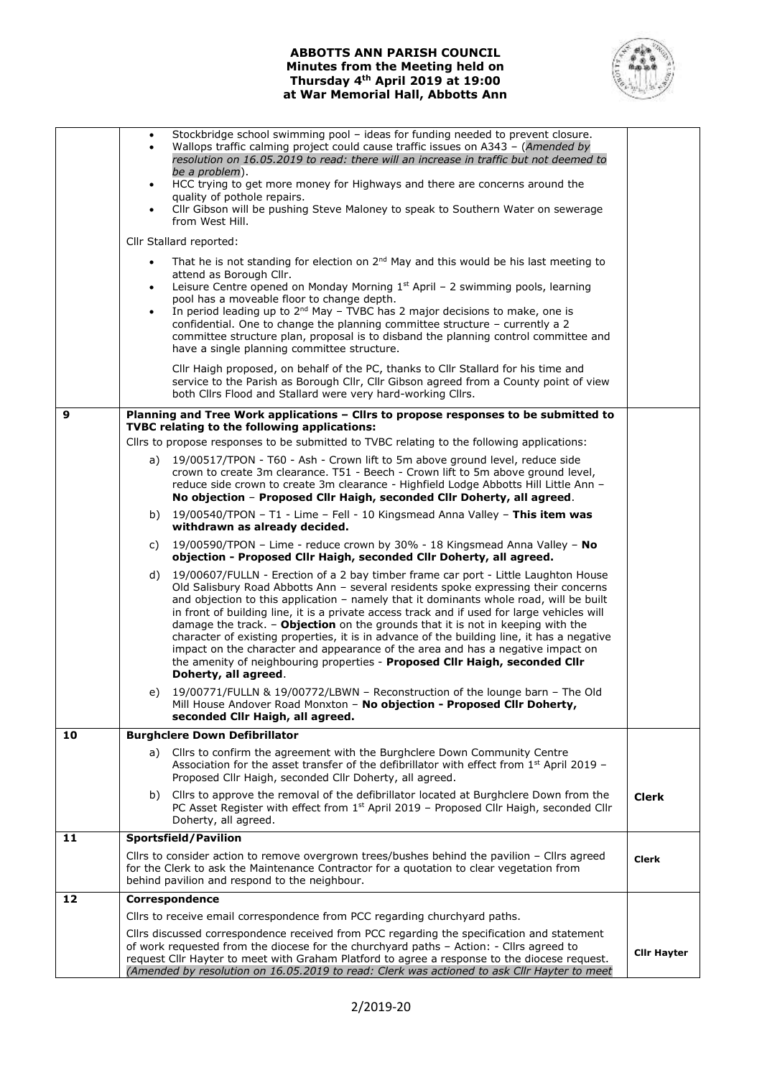# **ABBOTTS ANN PARISH COUNCIL Minutes from the Meeting held on Thursday 4th April 2019 at 19:00 at War Memorial Hall, Abbotts Ann**



|    | Stockbridge school swimming pool - ideas for funding needed to prevent closure.<br>$\bullet$<br>Wallops traffic calming project could cause traffic issues on A343 - (Amended by<br>resolution on 16.05.2019 to read: there will an increase in traffic but not deemed to<br>be a problem).<br>HCC trying to get more money for Highways and there are concerns around the<br>$\bullet$<br>quality of pothole repairs.<br>Cllr Gibson will be pushing Steve Maloney to speak to Southern Water on sewerage<br>from West Hill.<br>Cllr Stallard reported:                                                                                                                                                                                           |              |  |  |  |  |
|----|----------------------------------------------------------------------------------------------------------------------------------------------------------------------------------------------------------------------------------------------------------------------------------------------------------------------------------------------------------------------------------------------------------------------------------------------------------------------------------------------------------------------------------------------------------------------------------------------------------------------------------------------------------------------------------------------------------------------------------------------------|--------------|--|--|--|--|
|    | That he is not standing for election on $2^{nd}$ May and this would be his last meeting to<br>$\bullet$                                                                                                                                                                                                                                                                                                                                                                                                                                                                                                                                                                                                                                            |              |  |  |  |  |
|    | attend as Borough Cllr.<br>Leisure Centre opened on Monday Morning $1st$ April – 2 swimming pools, learning<br>pool has a moveable floor to change depth.<br>In period leading up to 2 <sup>nd</sup> May - TVBC has 2 major decisions to make, one is<br>confidential. One to change the planning committee structure - currently a 2<br>committee structure plan, proposal is to disband the planning control committee and<br>have a single planning committee structure.                                                                                                                                                                                                                                                                        |              |  |  |  |  |
|    | Cllr Haigh proposed, on behalf of the PC, thanks to Cllr Stallard for his time and<br>service to the Parish as Borough Cllr, Cllr Gibson agreed from a County point of view<br>both Cllrs Flood and Stallard were very hard-working Cllrs.                                                                                                                                                                                                                                                                                                                                                                                                                                                                                                         |              |  |  |  |  |
| 9  | Planning and Tree Work applications - Cllrs to propose responses to be submitted to<br>TVBC relating to the following applications:                                                                                                                                                                                                                                                                                                                                                                                                                                                                                                                                                                                                                |              |  |  |  |  |
|    | Cllrs to propose responses to be submitted to TVBC relating to the following applications:                                                                                                                                                                                                                                                                                                                                                                                                                                                                                                                                                                                                                                                         |              |  |  |  |  |
|    | 19/00517/TPON - T60 - Ash - Crown lift to 5m above ground level, reduce side<br>a)<br>crown to create 3m clearance. T51 - Beech - Crown lift to 5m above ground level,<br>reduce side crown to create 3m clearance - Highfield Lodge Abbotts Hill Little Ann -<br>No objection - Proposed Cllr Haigh, seconded Cllr Doherty, all agreed.                                                                                                                                                                                                                                                                                                                                                                                                           |              |  |  |  |  |
|    | 19/00540/TPON - T1 - Lime - Fell - 10 Kingsmead Anna Valley - This item was<br>b)<br>withdrawn as already decided.                                                                                                                                                                                                                                                                                                                                                                                                                                                                                                                                                                                                                                 |              |  |  |  |  |
|    | 19/00590/TPON - Lime - reduce crown by 30% - 18 Kingsmead Anna Valley - No<br>C)<br>objection - Proposed Cllr Haigh, seconded Cllr Doherty, all agreed.                                                                                                                                                                                                                                                                                                                                                                                                                                                                                                                                                                                            |              |  |  |  |  |
|    | 19/00607/FULLN - Erection of a 2 bay timber frame car port - Little Laughton House<br>d)<br>Old Salisbury Road Abbotts Ann - several residents spoke expressing their concerns<br>and objection to this application - namely that it dominants whole road, will be built<br>in front of building line, it is a private access track and if used for large vehicles will<br>damage the track. - Objection on the grounds that it is not in keeping with the<br>character of existing properties, it is in advance of the building line, it has a negative<br>impact on the character and appearance of the area and has a negative impact on<br>the amenity of neighbouring properties - Proposed Cllr Haigh, seconded Cllr<br>Doherty, all agreed. |              |  |  |  |  |
|    | 19/00771/FULLN & 19/00772/LBWN - Reconstruction of the lounge barn - The Old<br>e)<br>Mill House Andover Road Monxton - No objection - Proposed Cllr Doherty,                                                                                                                                                                                                                                                                                                                                                                                                                                                                                                                                                                                      |              |  |  |  |  |
| 10 | seconded Cllr Haigh, all agreed.<br><b>Burghclere Down Defibrillator</b>                                                                                                                                                                                                                                                                                                                                                                                                                                                                                                                                                                                                                                                                           |              |  |  |  |  |
|    | Cllrs to confirm the agreement with the Burghclere Down Community Centre<br>a)<br>Association for the asset transfer of the defibrillator with effect from $1st$ April 2019 -<br>Proposed Cllr Haigh, seconded Cllr Doherty, all agreed.                                                                                                                                                                                                                                                                                                                                                                                                                                                                                                           |              |  |  |  |  |
|    | b) Cllrs to approve the removal of the defibrillator located at Burghclere Down from the<br>PC Asset Register with effect from $1st$ April 2019 – Proposed Cllr Haigh, seconded Cllr<br>Doherty, all agreed.                                                                                                                                                                                                                                                                                                                                                                                                                                                                                                                                       | <b>Clerk</b> |  |  |  |  |
| 11 | Sportsfield/Pavilion                                                                                                                                                                                                                                                                                                                                                                                                                                                                                                                                                                                                                                                                                                                               |              |  |  |  |  |
|    | Cllrs to consider action to remove overgrown trees/bushes behind the pavilion - Cllrs agreed<br>for the Clerk to ask the Maintenance Contractor for a quotation to clear vegetation from<br>behind pavilion and respond to the neighbour.                                                                                                                                                                                                                                                                                                                                                                                                                                                                                                          |              |  |  |  |  |
| 12 | Correspondence                                                                                                                                                                                                                                                                                                                                                                                                                                                                                                                                                                                                                                                                                                                                     |              |  |  |  |  |
|    | Cllrs to receive email correspondence from PCC regarding churchyard paths.                                                                                                                                                                                                                                                                                                                                                                                                                                                                                                                                                                                                                                                                         |              |  |  |  |  |
|    | Cllrs discussed correspondence received from PCC regarding the specification and statement<br>of work requested from the diocese for the churchyard paths - Action: - Cllrs agreed to<br>request CIIr Hayter to meet with Graham Platford to agree a response to the diocese request.<br>(Amended by resolution on 16.05.2019 to read: Clerk was actioned to ask Cllr Hayter to meet                                                                                                                                                                                                                                                                                                                                                               |              |  |  |  |  |